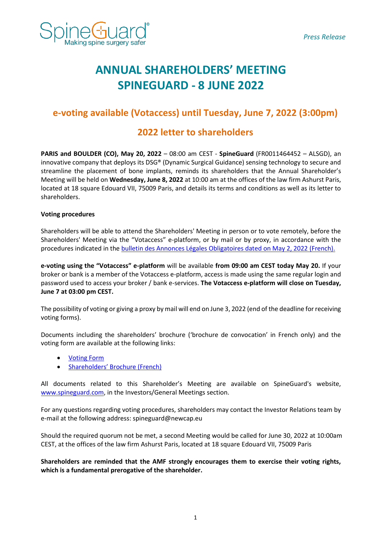

# **ANNUAL SHAREHOLDERS' MEETING SPINEGUARD - 8 JUNE 2022**

# **e-voting available (Votaccess) until Tuesday, June 7, 2022 (3:00pm)**

# **2022 letter to shareholders**

**PARIS and BOULDER (CO), May 20, 2022** – 08:00 am CEST - **SpineGuard** (FR0011464452 – ALSGD), an innovative company that deploys its DSG® (Dynamic Surgical Guidance) sensing technology to secure and streamline the placement of bone implants, reminds its shareholders that the Annual Shareholder's Meeting will be held on **Wednesday, June 8, 2022** at 10:00 am at the offices of the law firm Ashurst Paris, located at 18 square Edouard VII, 75009 Paris, and details its terms and conditions as well as its letter to shareholders.

## **Voting procedures**

Shareholders will be able to attend the Shareholders' Meeting in person or to vote remotely, before the Shareholders' Meeting via the "Votaccess" e-platform, or by mail or by proxy, in accordance with the procedures indicated in the [bulletin des Annonces Légales Obligatoires dated](https://fr.ftp.opendatasoft.com/datadila/JO/BALO/pdf/2022/0502/202205022201331.pdf) on May 2, 2022 (French).

**e-voting using the "Votaccess" e-platform** will be available **from 09:00 am CEST today May 20.** If your broker or bank is a member of the Votaccess e-platform, access is made using the same regular login and password used to access your broker / bank e-services. **The Votaccess e-platform will close on Tuesday, June 7 at 03:00 pm CEST.**

The possibility of voting or giving a proxy by mail will end on June 3, 2022 (end of the deadline for receiving voting forms).

Documents including the shareholders' brochure ('brochure de convocation' in French only) and the voting form are available at the following links:

- [Voting Form](https://www.spineguard.com/wp-content/uploads/Formulaire-de-vote-AG-SPINEGUARD-du-08-juin-2022.pdf)
- Sharehold[ers' Brochure \(French\)](https://www.spineguard.com/wp-content/uploads/SpineGuard-Brochure-de-convocation-2022-vf-16-mai-2022.pdf)

All documents related to this Shareholder's Meeting are available on SpineGuard's website, [www.spineguard.com,](http://www.spineguard.com/) in the Investors/General Meetings section.

For any questions regarding voting procedures, shareholders may contact the Investor Relations team by e-mail at the following address: spineguard@newcap.eu

Should the required quorum not be met, a second Meeting would be called for June 30, 2022 at 10:00am CEST, at the offices of the law firm Ashurst Paris, located at 18 square Edouard VII, 75009 Paris

**Shareholders are reminded that the AMF strongly encourages them to exercise their voting rights, which is a fundamental prerogative of the shareholder.**